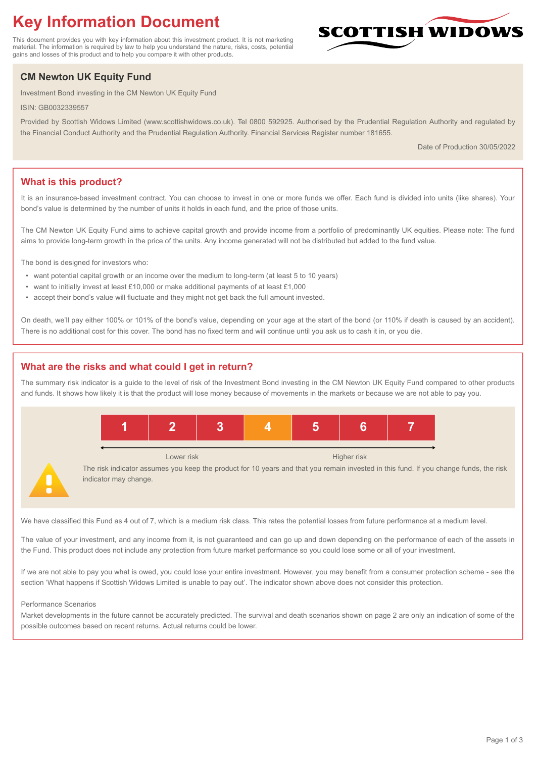# **Key Information Document**

This document provides you with key information about this investment product. It is not marketing material. The information is required by law to help you understand the nature, risks, costs, potential gains and losses of this product and to help you compare it with other products.

## **CM Newton UK Equity Fund**

Investment Bond investing in the CM Newton UK Equity Fund

ISIN: GB0032339557

Provided by Scottish Widows Limited (www.scottishwidows.co.uk). Tel 0800 592925. Authorised by the Prudential Regulation Authority and regulated by the Financial Conduct Authority and the Prudential Regulation Authority. Financial Services Register number 181655.

Date of Production 30/05/2022

**SCOTTISH WIDOW** 

## **What is this product?**

It is an insurance-based investment contract. You can choose to invest in one or more funds we offer. Each fund is divided into units (like shares). Your bond's value is determined by the number of units it holds in each fund, and the price of those units.

The CM Newton UK Equity Fund aims to achieve capital growth and provide income from a portfolio of predominantly UK equities. Please note: The fund aims to provide long-term growth in the price of the units. Any income generated will not be distributed but added to the fund value.

The bond is designed for investors who:

- want potential capital growth or an income over the medium to long-term (at least 5 to 10 years)
- want to initially invest at least £10,000 or make additional payments of at least £1,000
- accept their bond's value will fluctuate and they might not get back the full amount invested.

On death, we'll pay either 100% or 101% of the bond's value, depending on your age at the start of the bond (or 110% if death is caused by an accident). There is no additional cost for this cover. The bond has no fixed term and will continue until you ask us to cash it in, or you die.

## **What are the risks and what could I get in return?**

The summary risk indicator is a guide to the level of risk of the Investment Bond investing in the CM Newton UK Equity Fund compared to other products and funds. It shows how likely it is that the product will lose money because of movements in the markets or because we are not able to pay you.



We have classified this Fund as 4 out of 7, which is a medium risk class. This rates the potential losses from future performance at a medium level.

The value of your investment, and any income from it, is not guaranteed and can go up and down depending on the performance of each of the assets in the Fund. This product does not include any protection from future market performance so you could lose some or all of your investment.

If we are not able to pay you what is owed, you could lose your entire investment. However, you may benefit from a consumer protection scheme - see the section 'What happens if Scottish Widows Limited is unable to pay out'. The indicator shown above does not consider this protection.

#### Performance Scenarios

Market developments in the future cannot be accurately predicted. The survival and death scenarios shown on page 2 are only an indication of some of the possible outcomes based on recent returns. Actual returns could be lower.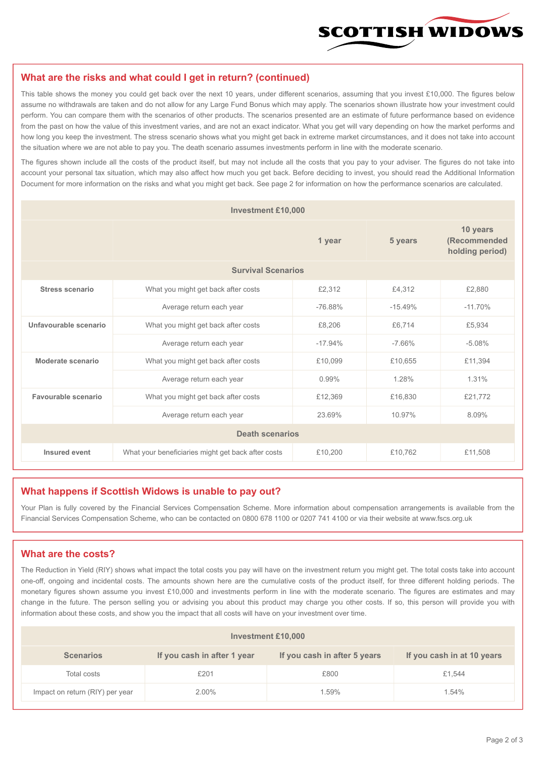

#### **What are the risks and what could I get in return? (continued)**

This table shows the money you could get back over the next 10 years, under different scenarios, assuming that you invest £10,000. The figures below assume no withdrawals are taken and do not allow for any Large Fund Bonus which may apply. The scenarios shown illustrate how your investment could perform. You can compare them with the scenarios of other products. The scenarios presented are an estimate of future performance based on evidence from the past on how the value of this investment varies, and are not an exact indicator. What you get will vary depending on how the market performs and how long you keep the investment. The stress scenario shows what you might get back in extreme market circumstances, and it does not take into account the situation where we are not able to pay you. The death scenario assumes investments perform in line with the moderate scenario.

The figures shown include all the costs of the product itself, but may not include all the costs that you pay to your adviser. The figures do not take into account your personal tax situation, which may also affect how much you get back. Before deciding to invest, you should read the Additional Information Document for more information on the risks and what you might get back. See page 2 for information on how the performance scenarios are calculated.

| <b>Investment £10,000</b> |                                                    |           |           |                                             |  |  |
|---------------------------|----------------------------------------------------|-----------|-----------|---------------------------------------------|--|--|
|                           | 1 year                                             |           | 5 years   | 10 years<br>(Recommended<br>holding period) |  |  |
| <b>Survival Scenarios</b> |                                                    |           |           |                                             |  |  |
| <b>Stress scenario</b>    | What you might get back after costs                | £2,312    | £4,312    | £2,880                                      |  |  |
|                           | Average return each year                           | $-76.88%$ | $-15.49%$ | $-11.70%$                                   |  |  |
| Unfavourable scenario     | What you might get back after costs                | £8,206    | £6,714    | £5,934                                      |  |  |
|                           | Average return each year                           | $-17.94%$ | $-7.66%$  | $-5.08%$                                    |  |  |
| Moderate scenario         | What you might get back after costs                | £10,099   | £10,655   | £11,394                                     |  |  |
|                           | Average return each year                           | 0.99%     | 1.28%     | 1.31%                                       |  |  |
| Favourable scenario       | What you might get back after costs                | £12,369   | £16,830   | £21,772                                     |  |  |
| Average return each year  |                                                    | 23.69%    | 10.97%    | 8.09%                                       |  |  |
| <b>Death scenarios</b>    |                                                    |           |           |                                             |  |  |
| Insured event             | What your beneficiaries might get back after costs | £10,200   | £10,762   | £11,508                                     |  |  |

#### **What happens if Scottish Widows is unable to pay out?**

Your Plan is fully covered by the Financial Services Compensation Scheme. More information about compensation arrangements is available from the Financial Services Compensation Scheme, who can be contacted on 0800 678 1100 or 0207 741 4100 or via their website at www.fscs.org.uk

## **What are the costs?**

The Reduction in Yield (RIY) shows what impact the total costs you pay will have on the investment return you might get. The total costs take into account one-off, ongoing and incidental costs. The amounts shown here are the cumulative costs of the product itself, for three different holding periods. The monetary figures shown assume you invest £10,000 and investments perform in line with the moderate scenario. The figures are estimates and may change in the future. The person selling you or advising you about this product may charge you other costs. If so, this person will provide you with information about these costs, and show you the impact that all costs will have on your investment over time.

| Investment £10,000              |                             |                              |                            |  |  |  |
|---------------------------------|-----------------------------|------------------------------|----------------------------|--|--|--|
| <b>Scenarios</b>                | If you cash in after 1 year | If you cash in after 5 years | If you cash in at 10 years |  |  |  |
| Total costs                     | £201                        | £800                         | £1,544                     |  |  |  |
| Impact on return (RIY) per year | 2.00%                       | 1.59%                        | 1.54%                      |  |  |  |